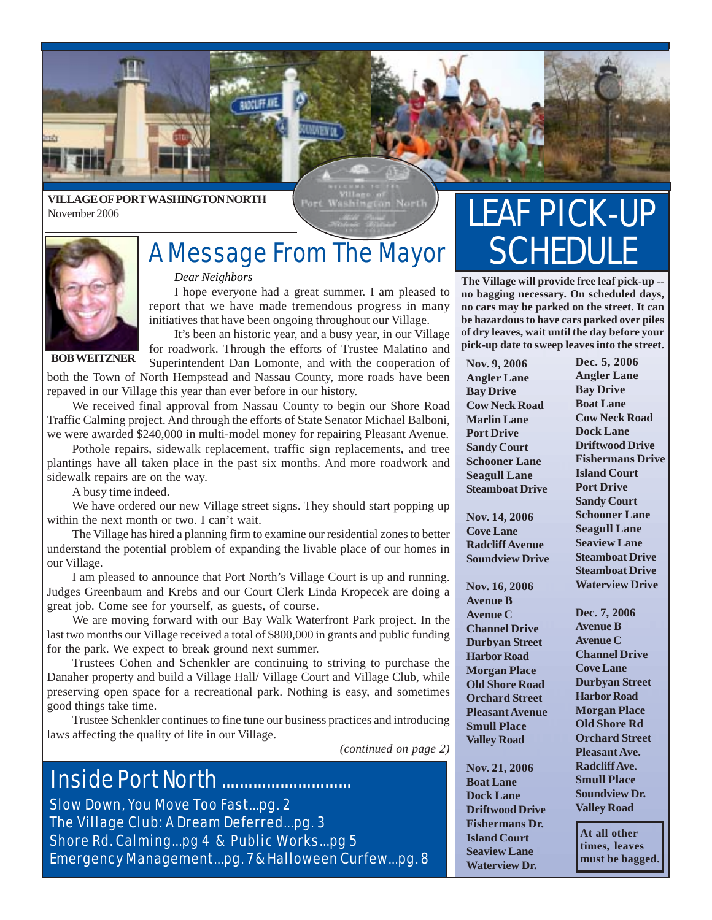

#### **VILLAGE OF PORT WASHINGTON NORTH** November 2006

ort Washington North



## A Message From The Mayor

#### *Dear Neighbors*

I hope everyone had a great summer. I am pleased to report that we have made tremendous progress in many initiatives that have been ongoing throughout our Village.

It's been an historic year, and a busy year, in our Village for roadwork. Through the efforts of Trustee Malatino and

**BOB WEITZNER**

Superintendent Dan Lomonte, and with the cooperation of both the Town of North Hempstead and Nassau County, more roads have been repaved in our Village this year than ever before in our history.

We received final approval from Nassau County to begin our Shore Road Traffic Calming project. And through the efforts of State Senator Michael Balboni, we were awarded \$240,000 in multi-model money for repairing Pleasant Avenue.

Pothole repairs, sidewalk replacement, traffic sign replacements, and tree plantings have all taken place in the past six months. And more roadwork and sidewalk repairs are on the way.

A busy time indeed.

We have ordered our new Village street signs. They should start popping up within the next month or two. I can't wait.

The Village has hired a planning firm to examine our residential zones to better understand the potential problem of expanding the livable place of our homes in our Village.

I am pleased to announce that Port North's Village Court is up and running. Judges Greenbaum and Krebs and our Court Clerk Linda Kropecek are doing a great job. Come see for yourself, as guests, of course.

We are moving forward with our Bay Walk Waterfront Park project. In the last two months our Village received a total of \$800,000 in grants and public funding for the park. We expect to break ground next summer.

Trustees Cohen and Schenkler are continuing to striving to purchase the Danaher property and build a Village Hall/ Village Court and Village Club, while preserving open space for a recreational park. Nothing is easy, and sometimes good things take time.

Trustee Schenkler continues to fine tune our business practices and introducing laws affecting the quality of life in our Village.

*(continued on page 2)*

### Inside Port North .............................

Slow Down, You Move Too Fast...pg. 2 The Village Club: A Dream Deferred...pg. 3 Shore Rd. Calming...pg 4 & Public Works...pg 5 Emergency Management...pg. 7 & Halloween Curfew...pg. 8

# LEAF PICK-UP **SCHEDULE**

**The Village will provide free leaf pick-up - no bagging necessary. On scheduled days, no cars may be parked on the street. It can be hazardous to have cars parked over piles of dry leaves, wait until the day before your pick-up date to sweep leaves into the street.**

**Nov. 9, 2006 Angler Lane Bay Drive Cow Neck Road Marlin Lane Port Drive Sandy Court Schooner Lane Seagull Lane Steamboat Drive**

**Nov. 14, 2006 Cove Lane Radcliff Avenue Soundview Drive**

**Nov. 16, 2006 Avenue B Avenue C Channel Drive Durbyan Street Harbor Road Morgan Place Old Shore Road Orchard Street Pleasant Avenue Smull Place Valley Road**

**Nov. 21, 2006 Boat Lane Dock Lane Driftwood Drive Fishermans Dr. Island Court Seaview Lane Waterview Dr.**

**Dec. 5, 2006 Angler Lane Bay Drive Boat Lane Cow Neck Road Dock Lane Driftwood Drive Fishermans Drive Island Court Port Drive Sandy Court Schooner Lane Seagull Lane Seaview Lane Steamboat Drive Steamboat Drive Waterview Drive**

**Dec. 7, 2006 Avenue B Avenue C Channel Drive Cove Lane Durbyan Street Harbor Road Morgan Place Old Shore Rd Orchard Street Pleasant Ave. Radcliff Ave. Smull Place Soundview Dr. Valley Road**

**At all other times, leaves must be bagged.**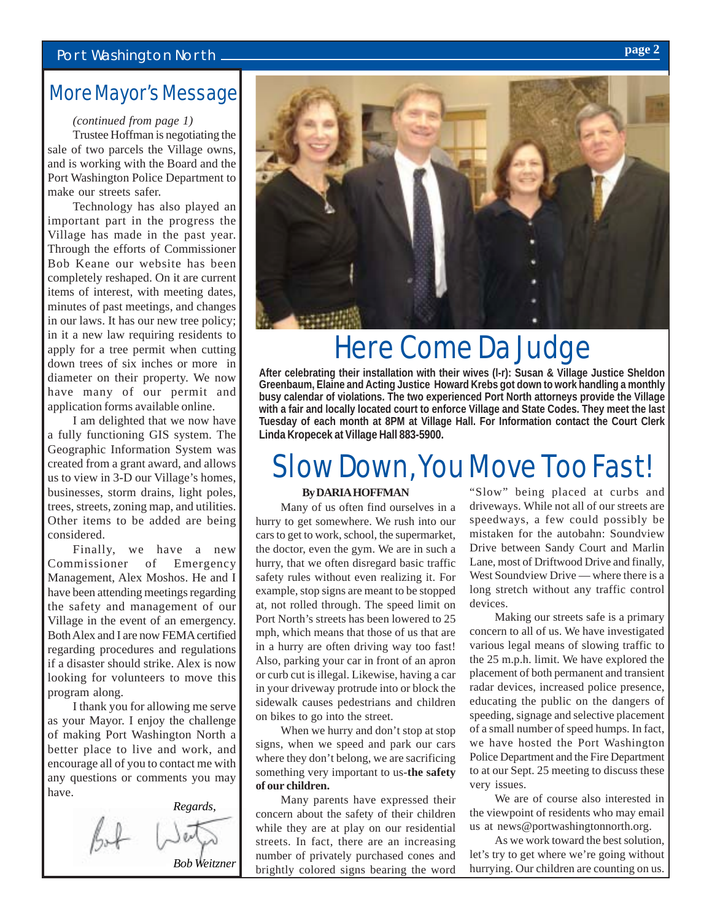### Port Washington North *page 2*

### More Mayor's Message

#### *(continued from page 1)*

Trustee Hoffman is negotiating the sale of two parcels the Village owns, and is working with the Board and the Port Washington Police Department to make our streets safer.

Technology has also played an important part in the progress the Village has made in the past year. Through the efforts of Commissioner Bob Keane our website has been completely reshaped. On it are current items of interest, with meeting dates, minutes of past meetings, and changes in our laws. It has our new tree policy; in it a new law requiring residents to apply for a tree permit when cutting down trees of six inches or more in diameter on their property. We now have many of our permit and application forms available online.

I am delighted that we now have a fully functioning GIS system. The Geographic Information System was created from a grant award, and allows us to view in 3-D our Village's homes, businesses, storm drains, light poles, trees, streets, zoning map, and utilities. Other items to be added are being considered.

Finally, we have a new Commissioner of Emergency Management, Alex Moshos. He and I have been attending meetings regarding the safety and management of our Village in the event of an emergency. Both Alex and I are now FEMA certified regarding procedures and regulations if a disaster should strike. Alex is now looking for volunteers to move this program along.

I thank you for allowing me serve as your Mayor. I enjoy the challenge of making Port Washington North a better place to live and work, and encourage all of you to contact me with any questions or comments you may have.





## Here Come Da Judge

**After celebrating their installation with their wives (l-r): Susan & Village Justice Sheldon Greenbaum, Elaine and Acting Justice Howard Krebs got down to work handling a monthly busy calendar of violations. The two experienced Port North attorneys provide the Village with a fair and locally located court to enforce Village and State Codes. They meet the last Tuesday of each month at 8PM at Village Hall. For Information contact the Court Clerk Linda Kropecek at Village Hall 883-5900.**

## Slow Down, You Move Too Fast!

#### **By DARIA HOFFMAN**

Many of us often find ourselves in a hurry to get somewhere. We rush into our cars to get to work, school, the supermarket, the doctor, even the gym. We are in such a hurry, that we often disregard basic traffic safety rules without even realizing it. For example, stop signs are meant to be stopped at, not rolled through. The speed limit on Port North's streets has been lowered to 25 mph, which means that those of us that are in a hurry are often driving way too fast! Also, parking your car in front of an apron or curb cut is illegal. Likewise, having a car in your driveway protrude into or block the sidewalk causes pedestrians and children on bikes to go into the street.

When we hurry and don't stop at stop signs, when we speed and park our cars where they don't belong, we are sacrificing something very important to us-**the safety of our children.**

Many parents have expressed their concern about the safety of their children while they are at play on our residential streets. In fact, there are an increasing number of privately purchased cones and brightly colored signs bearing the word

"Slow" being placed at curbs and driveways. While not all of our streets are speedways, a few could possibly be mistaken for the autobahn: Soundview Drive between Sandy Court and Marlin Lane, most of Driftwood Drive and finally, West Soundview Drive — where there is a long stretch without any traffic control devices.

Making our streets safe is a primary concern to all of us. We have investigated various legal means of slowing traffic to the 25 m.p.h. limit. We have explored the placement of both permanent and transient radar devices, increased police presence, educating the public on the dangers of speeding, signage and selective placement of a small number of speed humps. In fact, we have hosted the Port Washington Police Department and the Fire Department to at our Sept. 25 meeting to discuss these very issues.

We are of course also interested in the viewpoint of residents who may email us at news@portwashingtonnorth.org.

As we work toward the best solution, let's try to get where we're going without hurrying. Our children are counting on us.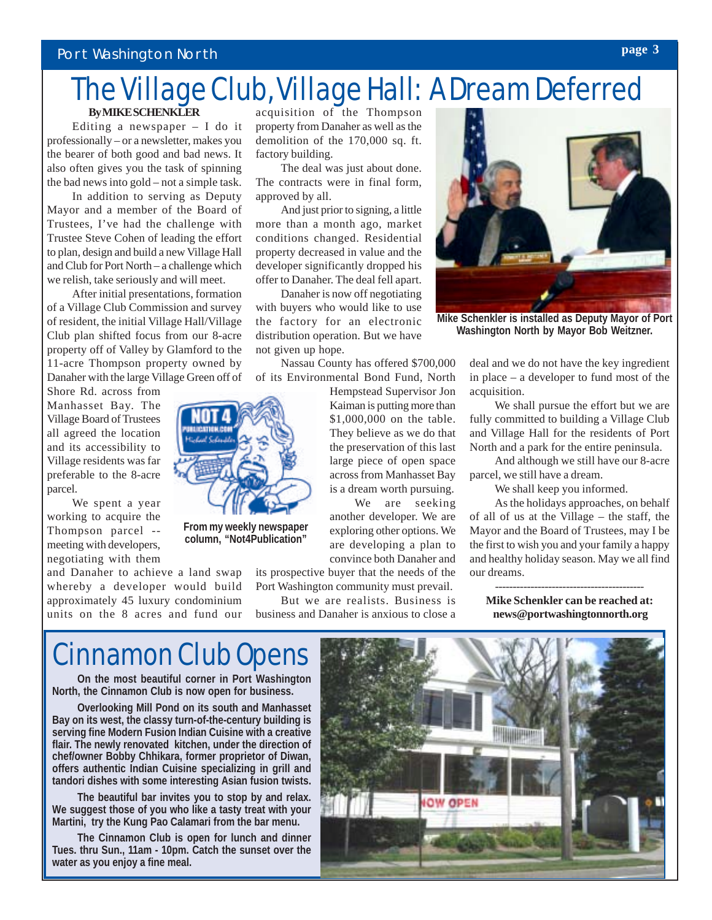#### Port Washington North

### The Village Club, Village Hall: A Dream Deferred **By MIKE SCHENKLER**

Editing a newspaper – I do it professionally – or a newsletter, makes you the bearer of both good and bad news. It also often gives you the task of spinning the bad news into gold – not a simple task.

In addition to serving as Deputy Mayor and a member of the Board of Trustees, I've had the challenge with Trustee Steve Cohen of leading the effort to plan, design and build a new Village Hall and Club for Port North – a challenge which we relish, take seriously and will meet.

After initial presentations, formation of a Village Club Commission and survey of resident, the initial Village Hall/Village Club plan shifted focus from our 8-acre property off of Valley by Glamford to the 11-acre Thompson property owned by Danaher with the large Village Green off of

Shore Rd. across from Manhasset Bay. The Village Board of Trustees all agreed the location and its accessibility to Village residents was far preferable to the 8-acre parcel.

We spent a year working to acquire the Thompson parcel - meeting with developers, negotiating with them

and Danaher to achieve a land swap whereby a developer would build approximately 45 luxury condominium units on the 8 acres and fund our

acquisition of the Thompson property from Danaher as well as the demolition of the 170,000 sq. ft. factory building.

The deal was just about done. The contracts were in final form, approved by all.

And just prior to signing, a little more than a month ago, market conditions changed. Residential property decreased in value and the developer significantly dropped his offer to Danaher. The deal fell apart.

Danaher is now off negotiating with buyers who would like to use the factory for an electronic distribution operation. But we have not given up hope.

Nassau County has offered \$700,000 of its Environmental Bond Fund, North

Hempstead Supervisor Jon Kaiman is putting more than \$1,000,000 on the table. They believe as we do that the preservation of this last large piece of open space across from Manhasset Bay is a dream worth pursuing.

We are seeking another developer. We are exploring other options. We are developing a plan to convince both Danaher and

its prospective buyer that the needs of the Port Washington community must prevail.

But we are realists. Business is business and Danaher is anxious to close a



**Mike Schenkler is installed as Deputy Mayor of Port Washington North by Mayor Bob Weitzner.**

deal and we do not have the key ingredient in place – a developer to fund most of the acquisition.

We shall pursue the effort but we are fully committed to building a Village Club and Village Hall for the residents of Port North and a park for the entire peninsula.

And although we still have our 8-acre parcel, we still have a dream.

We shall keep you informed.

As the holidays approaches, on behalf of all of us at the Village – the staff, the Mayor and the Board of Trustees, may I be the first to wish you and your family a happy and healthy holiday season. May we all find our dreams.

------------------------------------------ **Mike Schenkler can be reached at: news@portwashingtonnorth.org**

### Cinnamon Club Opens

**From my weekly newspaper column, "Not4Publication"**

**On the most beautiful corner in Port Washington North, the Cinnamon Club is now open for business.**

**Overlooking Mill Pond on its south and Manhasset Bay on its west, the classy turn-of-the-century building is serving fine Modern Fusion Indian Cuisine with a creative flair. The newly renovated kitchen, under the direction of chef/owner Bobby Chhikara, former proprietor of Diwan, offers authentic Indian Cuisine specializing in grill and tandori dishes with some interesting Asian fusion twists.**

**The beautiful bar invites you to stop by and relax. We suggest those of you who like a tasty treat with your Martini, try the Kung Pao Calamari from the bar menu.**

**The Cinnamon Club is open for lunch and dinner Tues. thru Sun., 11am - 10pm. Catch the sunset over the water as you enjoy a fine meal.**

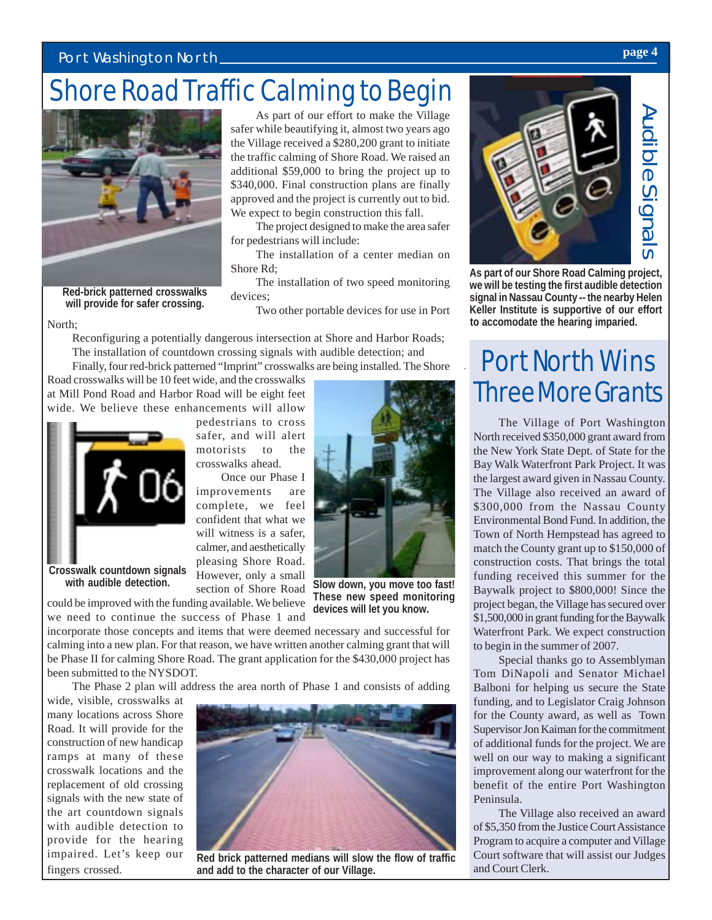### Port Washington North *page 4*

## Shore Road Traffic Calming to Begin



**Red-brick patterned crosswalks will provide for safer crossing.**

As part of our effort to make the Village safer while beautifying it, almost two years ago the Village received a \$280,200 grant to initiate the traffic calming of Shore Road. We raised an additional \$59,000 to bring the project up to \$340,000. Final construction plans are finally approved and the project is currently out to bid. We expect to begin construction this fall.

The project designed to make the area safer for pedestrians will include:

The installation of a center median on Shore Rd;

The installation of two speed monitoring devices;

Two other portable devices for use in Port

North; Reconfiguring a potentially dangerous intersection at Shore and Harbor Roads; The installation of countdown crossing signals with audible detection; and Finally, four red-brick patterned "Imprint" crosswalks are being installed. The Shore

Road crosswalks will be 10 feet wide, and the crosswalks at Mill Pond Road and Harbor Road will be eight feet wide. We believe these enhancements will allow



**Crosswalk countdown signals with audible detection.**

pedestrians to cross safer, and will alert motorists to the crosswalks ahead.

Once our Phase I improvements are complete, we feel confident that what we will witness is a safer, calmer, and aesthetically pleasing Shore Road. However, only a small section of Shore Road





**Slow down, you move too fast! These new speed monitoring devices will let you know.**

incorporate those concepts and items that were deemed necessary and successful for calming into a new plan. For that reason, we have written another calming grant that will be Phase II for calming Shore Road. The grant application for the \$430,000 project has been submitted to the NYSDOT.

The Phase 2 plan will address the area north of Phase 1 and consists of adding

wide, visible, crosswalks at many locations across Shore Road. It will provide for the construction of new handicap ramps at many of these crosswalk locations and the replacement of old crossing signals with the new state of the art countdown signals with audible detection to provide for the hearing impaired. Let's keep our fingers crossed.



**Red brick patterned medians will slow the flow of traffic and add to the character of our Village.**



**As part of our Shore Road Calming project, we will be testing the first audible detection signal in Nassau County -- the nearby Helen Keller Institute is supportive of our effort**

## Port North Wins Three More Grants

The Village of Port Washington North received \$350,000 grant award from the New York State Dept. of State for the Bay Walk Waterfront Park Project. It was the largest award given in Nassau County. The Village also received an award of \$300,000 from the Nassau County Environmental Bond Fund. In addition, the Town of North Hempstead has agreed to match the County grant up to \$150,000 of construction costs. That brings the total funding received this summer for the Baywalk project to \$800,000! Since the project began, the Village has secured over \$1,500,000 in grant funding for the Baywalk Waterfront Park. We expect construction to begin in the summer of 2007.

Special thanks go to Assemblyman Tom DiNapoli and Senator Michael Balboni for helping us secure the State funding, and to Legislator Craig Johnson for the County award, as well as Town Supervisor Jon Kaiman for the commitment of additional funds for the project. We are well on our way to making a significant improvement along our waterfront for the benefit of the entire Port Washington Peninsula.

The Village also received an award of \$5,350 from the Justice Court Assistance Program to acquire a computer and Village Court software that will assist our Judges and Court Clerk.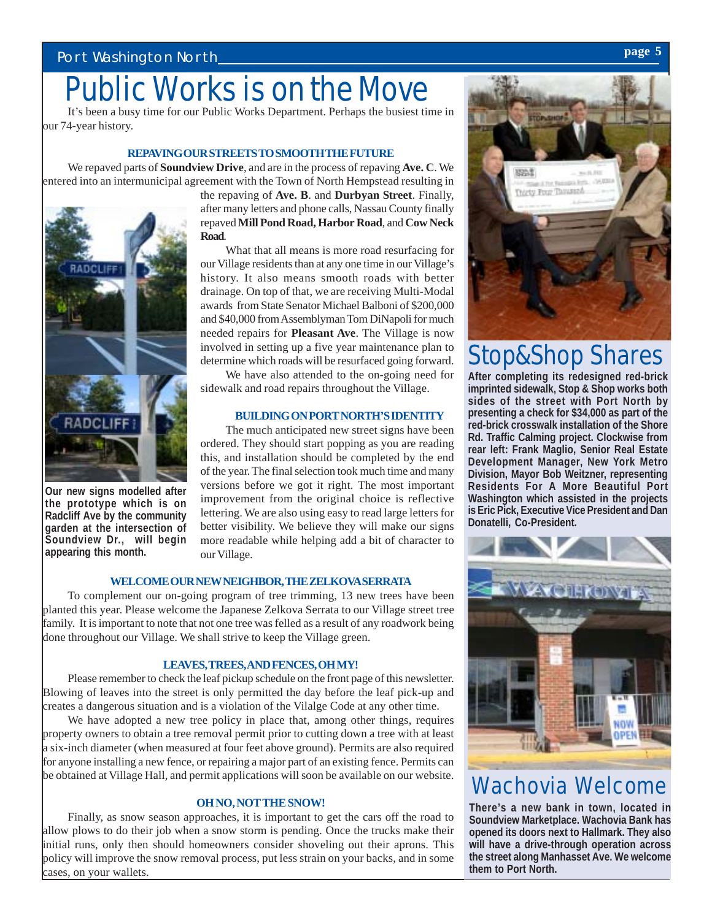## Public Works is on the Move

It's been a busy time for our Public Works Department. Perhaps the busiest time in our 74-year history.

#### **REPAVING OUR STREETS TO SMOOTH THE FUTURE**

We repaved parts of **Soundview Drive**, and are in the process of repaving **Ave. C**. We entered into an intermunicipal agreement with the Town of North Hempstead resulting in



**Our new signs modelled after the prototype which is on Radcliff Ave by the community garden at the intersection of Soundview Dr., will begin appearing this month.**

the repaving of **Ave. B**. and **Durbyan Street**. Finally, after many letters and phone calls, Nassau County finally repaved **Mill Pond Road, Harbor Road**, and **Cow Neck Road**.

What that all means is more road resurfacing for our Village residents than at any one time in our Village's history. It also means smooth roads with better drainage. On top of that, we are receiving Multi-Modal awards from State Senator Michael Balboni of \$200,000 and \$40,000 from Assemblyman Tom DiNapoli for much needed repairs for **Pleasant Ave**. The Village is now involved in setting up a five year maintenance plan to determine which roads will be resurfaced going forward.

We have also attended to the on-going need for sidewalk and road repairs throughout the Village.

#### **BUILDING ON PORT NORTH'S IDENTITY**

The much anticipated new street signs have been ordered. They should start popping as you are reading this, and installation should be completed by the end of the year. The final selection took much time and many versions before we got it right. The most important improvement from the original choice is reflective lettering. We are also using easy to read large letters for better visibility. We believe they will make our signs more readable while helping add a bit of character to our Village.

#### **WELCOME OUR NEW NEIGHBOR, THE ZELKOVA SERRATA**

To complement our on-going program of tree trimming, 13 new trees have been planted this year. Please welcome the Japanese Zelkova Serrata to our Village street tree family. It is important to note that not one tree was felled as a result of any roadwork being done throughout our Village. We shall strive to keep the Village green.

#### **LEAVES, TREES, AND FENCES, OH MY!**

Please remember to check the leaf pickup schedule on the front page of this newsletter. Blowing of leaves into the street is only permitted the day before the leaf pick-up and creates a dangerous situation and is a violation of the Vilalge Code at any other time.

We have adopted a new tree policy in place that, among other things, requires property owners to obtain a tree removal permit prior to cutting down a tree with at least a six-inch diameter (when measured at four feet above ground). Permits are also required for anyone installing a new fence, or repairing a major part of an existing fence. Permits can be obtained at Village Hall, and permit applications will soon be available on our website.

#### **OH NO, NOT THE SNOW!**

Finally, as snow season approaches, it is important to get the cars off the road to allow plows to do their job when a snow storm is pending. Once the trucks make their initial runs, only then should homeowners consider shoveling out their aprons. This policy will improve the snow removal process, put less strain on your backs, and in some cases, on your wallets.



### Stop&Shop Shares

**After completing its redesigned red-brick imprinted sidewalk, Stop & Shop works both sides of the street with Port North by presenting a check for \$34,000 as part of the red-brick crosswalk installation of the Shore Rd. Traffic Calming project. Clockwise from rear left: Frank Maglio, Senior Real Estate Development Manager, New York Metro Division, Mayor Bob Weitzner, representing Residents For A More Beautiful Port Washington which assisted in the projects is Eric Pick, Executive Vice President and Dan Donatelli, Co-President.**



### Wachovia Welcome

**There's a new bank in town, located in Soundview Marketplace. Wachovia Bank has opened its doors next to Hallmark. They also will have a drive-through operation across the street along Manhasset Ave. We welcome them to Port North.**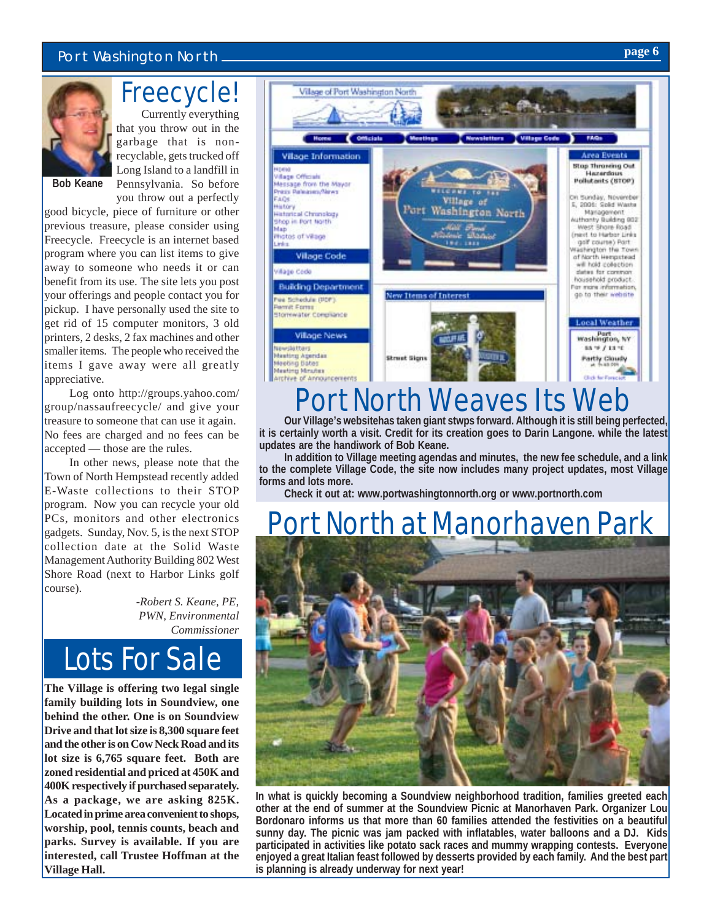### Port Washington North *page* 6<sup>2</sup>



### Freecycle!

Currently everything that you throw out in the garbage that is nonrecyclable, gets trucked off Long Island to a landfill in Pennsylvania. So before

**Bob Keane**

you throw out a perfectly good bicycle, piece of furniture or other previous treasure, please consider using Freecycle. Freecycle is an internet based program where you can list items to give away to someone who needs it or can benefit from its use. The site lets you post your offerings and people contact you for pickup. I have personally used the site to get rid of 15 computer monitors, 3 old printers, 2 desks, 2 fax machines and other smaller items. The people who received the items I gave away were all greatly appreciative.

Log onto http://groups.yahoo.com/ group/nassaufreecycle/ and give your treasure to someone that can use it again. No fees are charged and no fees can be accepted — those are the rules.

In other news, please note that the Town of North Hempstead recently added E-Waste collections to their STOP program. Now you can recycle your old PCs, monitors and other electronics gadgets. Sunday, Nov. 5, is the next STOP collection date at the Solid Waste Management Authority Building 802 West Shore Road (next to Harbor Links golf course).

> *-Robert S. Keane, PE, PWN, Environmental Commissioner*



**The Village is offering two legal single family building lots in Soundview, one behind the other. One is on Soundview Drive and that lot size is 8,300 square feet and the other is on Cow Neck Road and its lot size is 6,765 square feet. Both are zoned residential and priced at 450K and 400K respectively if purchased separately. As a package, we are asking 825K. Located in prime area convenient to shops, worship, pool, tennis counts, beach and parks. Survey is available. If you are interested, call Trustee Hoffman at the Village Hall.**



## Port North Weaves Its Web

**Our Village's websitehas taken giant stwps forward. Although it is still being perfected, it is certainly worth a visit. Credit for its creation goes to Darin Langone. while the latest updates are the handiwork of Bob Keane.**

**In addition to Village meeting agendas and minutes, the new fee schedule, and a link to the complete Village Code, the site now includes many project updates, most Village forms and lots more.**

**Check it out at: www.portwashingtonnorth.org or www.portnorth.com**

## ort North at Manorhaven Park



**In what is quickly becoming a Soundview neighborhood tradition, families greeted each other at the end of summer at the Soundview Picnic at Manorhaven Park. Organizer Lou Bordonaro informs us that more than 60 families attended the festivities on a beautiful sunny day. The picnic was jam packed with inflatables, water balloons and a DJ. Kids participated in activities like potato sack races and mummy wrapping contests. Everyone enjoyed a great Italian feast followed by desserts provided by each family. And the best part is planning is already underway for next year!**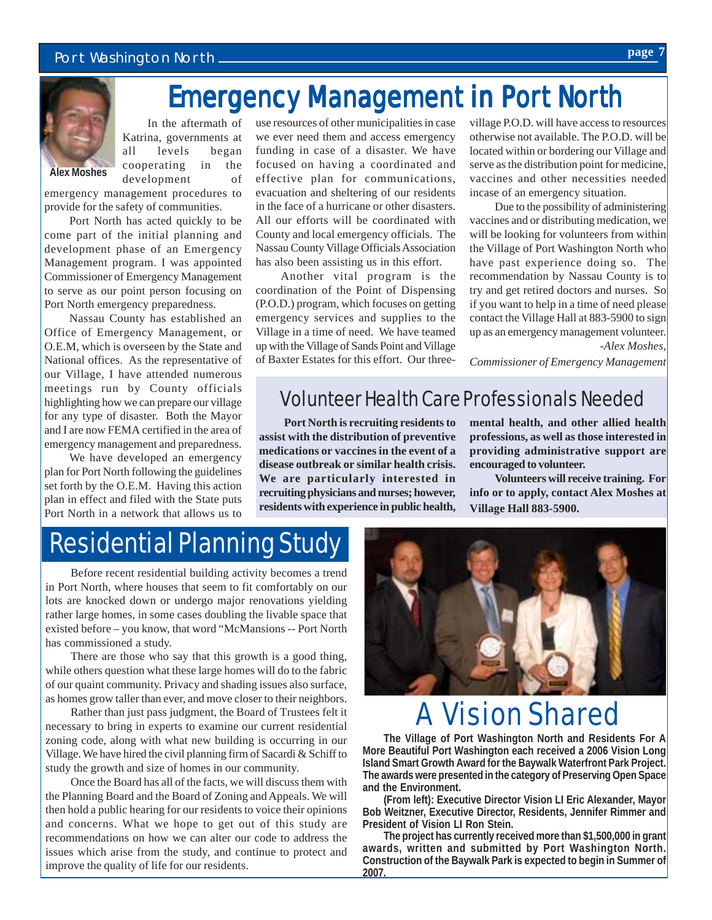#### Port Washington North *page* 2014 and 2016 and 2017 and 2018 and 2019 and 2019 and 2019 and 2019 and 2019 and 2019 and 2019 and 2019 and 2019 and 2019 and 2019 and 2019 and 2019 and 2019 and 2019 and 2019 and 2019 and 20



In the aftermath of Katrina, governments at all levels began cooperating in the development of

emergency management procedures to provide for the safety of communities.

Port North has acted quickly to be come part of the initial planning and development phase of an Emergency Management program. I was appointed Commissioner of Emergency Management to serve as our point person focusing on Port North emergency preparedness.

Nassau County has established an Office of Emergency Management, or O.E.M, which is overseen by the State and National offices. As the representative of our Village, I have attended numerous meetings run by County officials highlighting how we can prepare our village for any type of disaster. Both the Mayor and I are now FEMA certified in the area of emergency management and preparedness.

We have developed an emergency plan for Port North following the guidelines set forth by the O.E.M. Having this action plan in effect and filed with the State puts Port North in a network that allows us to use resources of other municipalities in case we ever need them and access emergency funding in case of a disaster. We have focused on having a coordinated and effective plan for communications, evacuation and sheltering of our residents in the face of a hurricane or other disasters. All our efforts will be coordinated with County and local emergency officials. The Nassau County Village Officials Association has also been assisting us in this effort.

Emergency Management in Port North

Another vital program is the coordination of the Point of Dispensing (P.O.D.) program, which focuses on getting emergency services and supplies to the Village in a time of need. We have teamed up with the Village of Sands Point and Village of Baxter Estates for this effort. Our threevillage P.O.D. will have access to resources otherwise not available. The P.O.D. will be located within or bordering our Village and serve as the distribution point for medicine, vaccines and other necessities needed incase of an emergency situation.

Due to the possibility of administering vaccines and or distributing medication, we will be looking for volunteers from within the Village of Port Washington North who have past experience doing so. The recommendation by Nassau County is to try and get retired doctors and nurses. So if you want to help in a time of need please contact the Village Hall at 883-5900 to sign up as an emergency management volunteer. *-Alex Moshes,*

*Commissioner of Emergency Management*

### Volunteer Health Care Professionals Needed

**Port North is recruiting residents to assist with the distribution of preventive medications or vaccines in the event of a disease outbreak or similar health crisis. We are particularly interested in recruiting physicians and nurses; however, residents with experience in public health,** **mental health, and other allied health professions, as well as those interested in providing administrative support are encouraged to volunteer.**

**Volunteers will receive training. For info or to apply, contact Alex Moshes at Village Hall 883-5900.**

### Residential Planning Study

Before recent residential building activity becomes a trend in Port North, where houses that seem to fit comfortably on our lots are knocked down or undergo major renovations yielding rather large homes, in some cases doubling the livable space that existed before – you know, that word "McMansions -- Port North has commissioned a study.

There are those who say that this growth is a good thing, while others question what these large homes will do to the fabric of our quaint community. Privacy and shading issues also surface, as homes grow taller than ever, and move closer to their neighbors.

Rather than just pass judgment, the Board of Trustees felt it necessary to bring in experts to examine our current residential zoning code, along with what new building is occurring in our Village. We have hired the civil planning firm of Sacardi & Schiff to study the growth and size of homes in our community.

Once the Board has all of the facts, we will discuss them with the Planning Board and the Board of Zoning and Appeals. We will then hold a public hearing for our residents to voice their opinions and concerns. What we hope to get out of this study are recommendations on how we can alter our code to address the issues which arise from the study, and continue to protect and improve the quality of life for our residents.



## A Vision Shared

**The Village of Port Washington North and Residents For A More Beautiful Port Washington each received a 2006 Vision Long Island Smart Growth Award for the Baywalk Waterfront Park Project. The awards were presented in the category of Preserving Open Space and the Environment.**

**(From left): Executive Director Vision LI Eric Alexander, Mayor Bob Weitzner, Executive Director, Residents, Jennifer Rimmer and President of Vision LI Ron Stein.**

**The project has currently received more than \$1,500,000 in grant awards, written and submitted by Port Washington North. Construction of the Baywalk Park is expected to begin in Summer of 2007.**